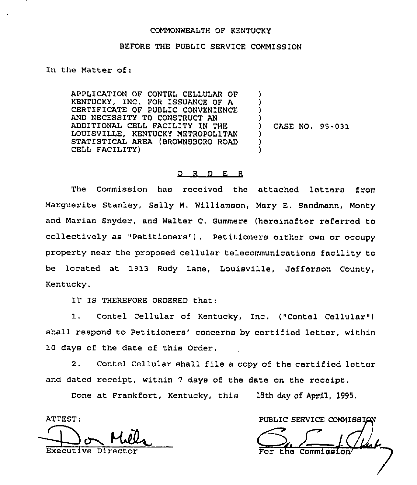### COMMONWEALTH OF KENTUCKY

#### BEFORE THE PUBLIC SERVICE COMMISSION

In the Matter of:

APPLICATION OF CONTEL CELLULAR OF KENTUCKY, INC. FOR ISSUANCE OF A CERTIFICATE OF PUBLIC CONVENIENCE AND NECESSITY TO CONSTRUCT AN ADDITIONAL CELL FACILITY IN THE LOUISVILLE, KENTUCKY METROPOLITAN STATISTICAL AREA (BROWNSBORO ROAD CELL FACILITY)

) CASE NO. 95-031

) ) ) )

) ) )

### $Q$  R  $D$  E R

The Commission has received the attached letters from Marguerite stanley, Sally M. Williamson, Mary E, Sandmann, Monty and Marian Snyder, and Walter C. Gummere (hereinafter referred to collectively as "Petitioners" ) . Petitioners either own or occupy property near the proposed cellular telecommunications facility to be located at 1913 Rudy Lane, Louisville, Jefferson County, Kentucky.

IT IS THEREFORE ORDERED that:

1. Contel Cellular of Kentucky, Inc. ("Contel Cellular") shall respond to Petitioners' concerns by certified letter, within 10 days of the date of this Order.

2. Contel Cellular shall file <sup>a</sup> copy of the certified letter and dated receipt, within <sup>7</sup> days of the date on the receipt,

Done at Frankfort, Kentucky, this 18th day of April, 1995.

ATTEST:

ATTEST: Executive Direct

PUBLIC SERVICE COMMISSION the Commi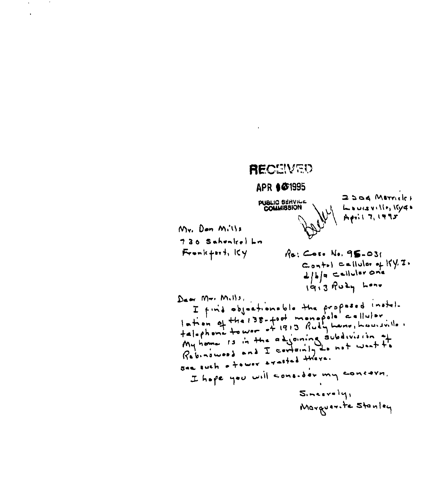# RECEIVED

## APR 647995

**PUBLIC BERVICE** 

2504 Marrieles Louisville, Kyq+ April 7, 1995

 $M_{Y_1}$  Dan  $M_1 \cup Y_2$ 720 Schenkel Lin Fronkfort, Ky

Re: Cose No. 95-031  $Contr1 \subset \text{allular of } K \times T$  $L/b/a$  callular one 1913 Ruly Lone

Daw Mr. Milly, I find objectionable the proposed instal-<br>lation of the 138-foot monopole callulor.<br>telephone to wer of 1913 Rudy Lane, Laurentle My home Is in the adjoining subdivision of<br>Rebinawood and I containly do not want to I hape you will consider my concrer.  $S_{inert}$ Marguerite Stanley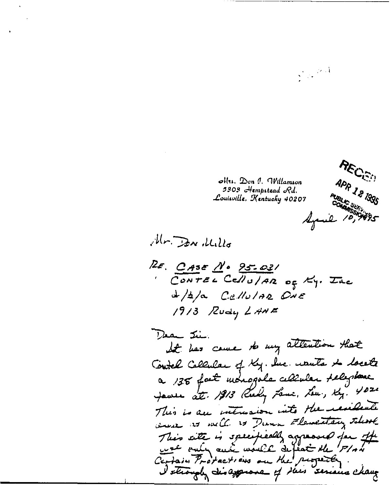

 $\sum_{\substack{\mathbf{x} \in \mathbb{R}^n \\ \mathbf{x} \in \mathbb{R}^n}} \left\| \mathbf{x} \right\| \leq \frac{1}{\epsilon}$ 

 $\mathcal{O}(\mathfrak{m})$ .  $\mathcal{D}$ on (l. Willamson 3303 *Hempstead* Rd. Louisville, Kentucky 40207

Mr. Dan , Wills

RE. CASE N. 95-021 CONTEL CellU/AR of Ky. The  $d/4/a$  Cellular ONE 1913 Rudy LANE

Dear Jui. It has come to my attention that Contel Callular of Ky. Inc. wants to locate a 138 fact monogole cellular telephone James att. 1913 Rudy Lame, Lew, Ky. 4020 This is an intrusion into the resident were as well is Dunn Flementary sleave This site is specifiedly agreemed for the I strough disapprove of this seriens change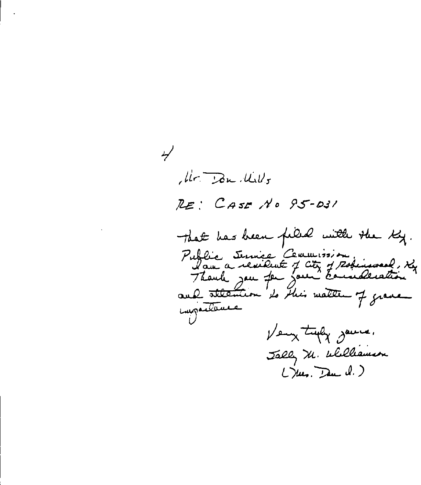, lir. Don , Ulls RE: CASE NO 95-031 That has been filled with the Ky. Public Jennie Cemmission and attention to this matter of grave impertance Very tryly gave. Jally M. Williamson Likes. Deu d.)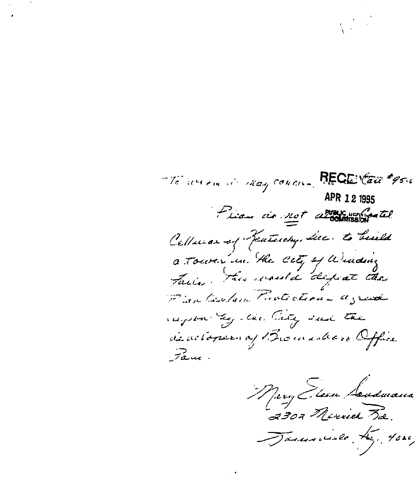The service is may concur. RECEVED #95.6 APR 12 1995 Liam de not allowed the Cellurar of Featurely, the to build a touter in the city of Windows Factor this would dispat de Plan Contain Fratection agreed rupon they the City sail the de actoparen aj Bromadoro Office  $7\overset{>}{\sim}$ 

Mery Flean Soudwans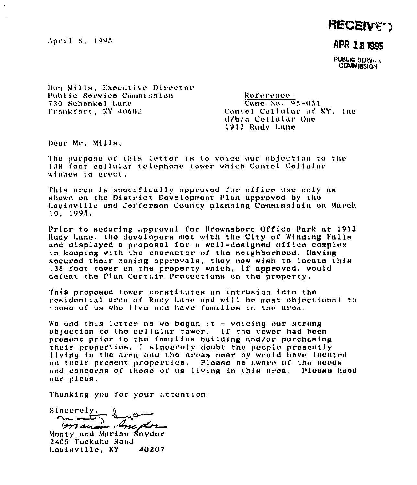April 8, 1995

# **RECEIVE!!!**

### APR 18 1995

PUBLIC BERVILL COMMIBSION

Don Mills, Executive Director Public Service Commission 730 Schenkel Lane Frankfort, KY 40602

Reference: Case No. 95-031 Contel Cellular of KY. Inc. d/b/a Cellular One 1913 Rudy Lane

Dear Mr. Mills,

The purpose of this letter is to voice our objection to the 138 foot collular tolephone tower which Contel Collular wishes to erect.

This area is specifically approved for office use only as shown on the District Development Plan approved by the Louisville and Jefferson County planning Commissioin on March  $10.1995.$ 

Prior to securing approval for Brownsboro Office Park at 1913 Rudy Lane, the developers met with the City of Winding Falls and displayed a proposal for a well-designed office complex in keeping with the character of the neighborhood. Having secured their zoning approvals, they now wish to locate this 138 foot tower on the property which, if approved, would defeat the Plan Certain Protections on the property.

This proposed tower constitutes an intrusion into the residential area of Rudy Lane and will be most objectional to those of us who live and have families in the area.

We end this letter as we began it - voicing our strong objection to the collular tower. If the tower had been present prior to the families building and/or purchasing their properties. I sincerely doubt the people presently living in the area and the areas near by would have located on their present properties. Please be aware of the needs and concerns of those of us living in this area. Please heed our pleas.

Thanking you for your attention.

Sincerely. manin Grader

Monty and Marian Snyder 2405 Tuckaho Road Louisville, KY 40207